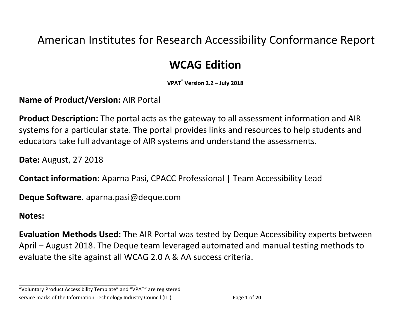## American Institutes for Research Accessibility Conformance Report

# **WCAG Edition**

**VPAT**® **Version 2.2 – July 2018**

**Name of Product/Version: AIR Portal** 

**Product Description:** The portal acts as the gateway to all assessment information and AIR systems for a particular state. The portal provides links and resources to help students and educators take full advantage of AIR systems and understand the assessments.

**Date: August, 27 2018** 

**Contact information:** Aparna Pasi, CPACC Professional | Team Accessibility Lead

**Deque Software.** aparna.pasi@deque.com

#### **Notes:**

**Evaluation Methods Used:** The AIR Portal was tested by Deque Accessibility experts between April – August 2018. The Deque team leveraged automated and manual testing methods to evaluate the site against all WCAG 2.0 A & AA success criteria.

"Voluntary Product Accessibility Template" and "VPAT" are registered service marks of the Information Technology Industry Council (ITI) Page 1 of 20

**\_\_\_\_\_\_\_\_\_\_\_\_\_\_\_\_\_\_\_\_\_\_\_\_\_\_\_\_\_\_\_\_\_\_**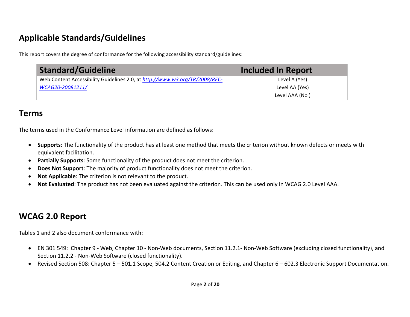### **Applicable Standards/Guidelines**

This report covers the degree of conformance for the following accessibility standard/guidelines:

| <b>Standard/Guideline</b>                                                   | <b>Included In Report</b> |
|-----------------------------------------------------------------------------|---------------------------|
| Web Content Accessibility Guidelines 2.0, at http://www.w3.org/TR/2008/REC- | Level A (Yes)             |
| WCAG20-20081211/                                                            | Level AA (Yes)            |
|                                                                             | Level AAA (No)            |

### **Terms**

The terms used in the Conformance Level information are defined as follows:

- Supports: The functionality of the product has at least one method that meets the criterion without known defects or meets with equivalent facilitation.
- Partially Supports: Some functionality of the product does not meet the criterion.
- Does Not Support: The majority of product functionality does not meet the criterion.
- Not Applicable: The criterion is not relevant to the product.
- Not Evaluated: The product has not been evaluated against the criterion. This can be used only in WCAG 2.0 Level AAA.

### **WCAG 2.0 Report**

Tables 1 and 2 also document conformance with:

- EN 301 549: Chapter 9 Web, Chapter 10 Non-Web documents, Section 11.2.1- Non-Web Software (excluding closed functionality), and Section 11.2.2 - Non-Web Software (closed functionality).
- Revised Section 508: Chapter 5 501.1 Scope, 504.2 Content Creation or Editing, and Chapter 6 602.3 Electronic Support Documentation.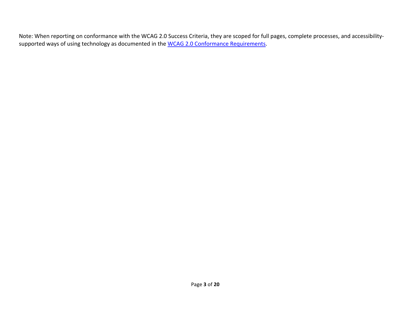Note: When reporting on conformance with the WCAG 2.0 Success Criteria, they are scoped for full pages, complete processes, and accessibilitysupported ways of using technology as documented in the WCAG 2.0 Conformance Requirements.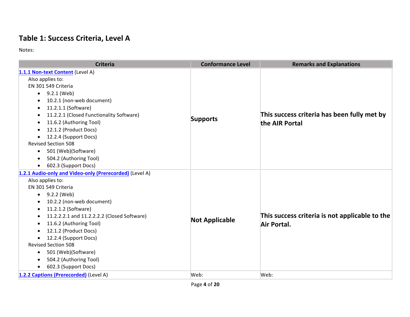#### **Table 1: Success Criteria, Level A**

Notes:

| <b>Criteria</b>                                         | <b>Conformance Level</b> | <b>Remarks and Explanations</b>                               |
|---------------------------------------------------------|--------------------------|---------------------------------------------------------------|
| 1.1.1 Non-text Content (Level A)                        |                          |                                                               |
| Also applies to:                                        |                          |                                                               |
| EN 301 549 Criteria                                     |                          |                                                               |
| $\bullet$ 9.2.1 (Web)                                   |                          |                                                               |
| 10.2.1 (non-web document)                               |                          | This success criteria has been fully met by                   |
| 11.2.1.1 (Software)<br>٠                                |                          |                                                               |
| 11.2.2.1 (Closed Functionality Software)                |                          |                                                               |
| 11.6.2 (Authoring Tool)<br>$\bullet$                    | <b>Supports</b>          | the AIR Portal                                                |
| 12.1.2 (Product Docs)                                   |                          |                                                               |
| 12.2.4 (Support Docs)<br>$\bullet$                      |                          |                                                               |
| <b>Revised Section 508</b>                              |                          |                                                               |
| 501 (Web)(Software)<br>$\bullet$                        |                          |                                                               |
| 504.2 (Authoring Tool)<br>$\bullet$                     |                          |                                                               |
| 602.3 (Support Docs)<br>$\bullet$                       |                          |                                                               |
| 1.2.1 Audio-only and Video-only (Prerecorded) (Level A) |                          |                                                               |
| Also applies to:                                        |                          |                                                               |
| EN 301 549 Criteria                                     |                          |                                                               |
| 9.2.2 (Web)<br>$\bullet$                                |                          |                                                               |
| 10.2.2 (non-web document)<br>$\bullet$                  |                          | This success criteria is not applicable to the<br>Air Portal. |
| 11.2.1.2 (Software)                                     |                          |                                                               |
| 11.2.2.2.1 and 11.2.2.2.2 (Closed Software)             | <b>Not Applicable</b>    |                                                               |
| 11.6.2 (Authoring Tool)<br>$\bullet$                    |                          |                                                               |
| 12.1.2 (Product Docs)                                   |                          |                                                               |
| 12.2.4 (Support Docs)                                   |                          |                                                               |
| <b>Revised Section 508</b>                              |                          |                                                               |
| 501 (Web)(Software)<br>$\bullet$                        |                          |                                                               |
| 504.2 (Authoring Tool)<br>$\bullet$                     |                          |                                                               |
| 602.3 (Support Docs)                                    |                          |                                                               |
| 1.2.2 Captions (Prerecorded) (Level A)                  | Web:                     | Web:                                                          |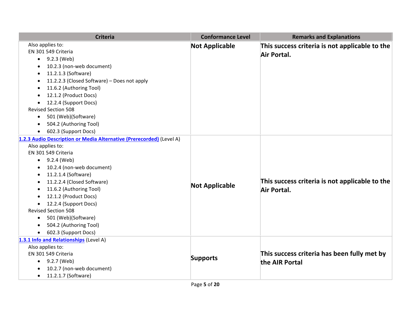| <b>Criteria</b>                                                      | <b>Conformance Level</b> | <b>Remarks and Explanations</b>                               |
|----------------------------------------------------------------------|--------------------------|---------------------------------------------------------------|
| Also applies to:                                                     | <b>Not Applicable</b>    | This success criteria is not applicable to the                |
| EN 301 549 Criteria                                                  |                          | Air Portal.                                                   |
| $-9.2.3$ (Web)                                                       |                          |                                                               |
| 10.2.3 (non-web document)                                            |                          |                                                               |
| 11.2.1.3 (Software)<br>$\bullet$                                     |                          |                                                               |
| 11.2.2.3 (Closed Software) - Does not apply                          |                          |                                                               |
| 11.6.2 (Authoring Tool)                                              |                          |                                                               |
| 12.1.2 (Product Docs)                                                |                          |                                                               |
| 12.2.4 (Support Docs)                                                |                          |                                                               |
| <b>Revised Section 508</b>                                           |                          |                                                               |
| 501 (Web)(Software)<br>$\bullet$                                     |                          |                                                               |
| 504.2 (Authoring Tool)                                               |                          |                                                               |
| 602.3 (Support Docs)                                                 |                          |                                                               |
| 1.2.3 Audio Description or Media Alternative (Prerecorded) (Level A) |                          |                                                               |
| Also applies to:                                                     |                          |                                                               |
| EN 301 549 Criteria                                                  |                          |                                                               |
| $\bullet$ 9.2.4 (Web)                                                |                          |                                                               |
| 10.2.4 (non-web document)                                            |                          |                                                               |
| 11.2.1.4 (Software)                                                  |                          |                                                               |
| 11.2.2.4 (Closed Software)                                           | <b>Not Applicable</b>    | This success criteria is not applicable to the<br>Air Portal. |
| 11.6.2 (Authoring Tool)                                              |                          |                                                               |
| 12.1.2 (Product Docs)<br>$\bullet$                                   |                          |                                                               |
| • 12.2.4 (Support Docs)                                              |                          |                                                               |
| <b>Revised Section 508</b>                                           |                          |                                                               |
| 501 (Web)(Software)<br>$\bullet$                                     |                          |                                                               |
| 504.2 (Authoring Tool)                                               |                          |                                                               |
| 602.3 (Support Docs)                                                 |                          |                                                               |
| 1.3.1 Info and Relationships (Level A)                               |                          |                                                               |
| Also applies to:                                                     |                          |                                                               |
| EN 301 549 Criteria                                                  | <b>Supports</b>          | This success criteria has been fully met by                   |
| 9.2.7 (Web)                                                          |                          | the AIR Portal                                                |
| 10.2.7 (non-web document)                                            |                          |                                                               |
| 11.2.1.7 (Software)<br>$\bullet$                                     |                          |                                                               |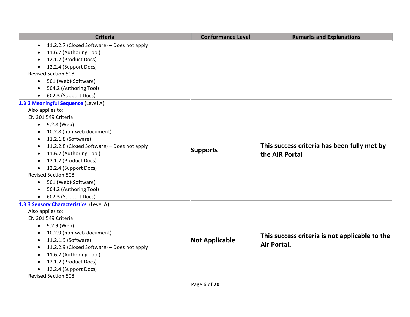| <b>Criteria</b>                                          | <b>Conformance Level</b> | <b>Remarks and Explanations</b>                |
|----------------------------------------------------------|--------------------------|------------------------------------------------|
| 11.2.2.7 (Closed Software) - Does not apply<br>$\bullet$ |                          |                                                |
| 11.6.2 (Authoring Tool)                                  |                          |                                                |
| 12.1.2 (Product Docs)<br>$\bullet$                       |                          |                                                |
| 12.2.4 (Support Docs)<br>$\bullet$                       |                          |                                                |
| <b>Revised Section 508</b>                               |                          |                                                |
| 501 (Web)(Software)<br>$\bullet$                         |                          |                                                |
| 504.2 (Authoring Tool)<br>$\bullet$                      |                          |                                                |
| 602.3 (Support Docs)<br>$\bullet$                        |                          |                                                |
| 1.3.2 Meaningful Sequence (Level A)                      |                          |                                                |
| Also applies to:                                         |                          |                                                |
| EN 301 549 Criteria                                      |                          |                                                |
| 9.2.8 (Web)<br>$\bullet$                                 |                          |                                                |
| 10.2.8 (non-web document)                                |                          |                                                |
| 11.2.1.8 (Software)<br>$\bullet$                         |                          |                                                |
| 11.2.2.8 (Closed Software) - Does not apply<br>$\bullet$ |                          | This success criteria has been fully met by    |
| 11.6.2 (Authoring Tool)<br>$\bullet$                     | <b>Supports</b>          | the AIR Portal                                 |
| 12.1.2 (Product Docs)                                    |                          |                                                |
| 12.2.4 (Support Docs)<br>$\bullet$                       |                          |                                                |
| <b>Revised Section 508</b>                               |                          |                                                |
| 501 (Web)(Software)<br>$\bullet$                         |                          |                                                |
| 504.2 (Authoring Tool)<br>$\bullet$                      |                          |                                                |
| 602.3 (Support Docs)<br>$\bullet$                        |                          |                                                |
| 1.3.3 Sensory Characteristics (Level A)                  |                          |                                                |
| Also applies to:                                         |                          |                                                |
| EN 301 549 Criteria                                      |                          |                                                |
| 9.2.9 (Web)<br>$\bullet$                                 |                          |                                                |
| 10.2.9 (non-web document)<br>$\bullet$                   |                          | This success criteria is not applicable to the |
| 11.2.1.9 (Software)<br>$\bullet$                         | <b>Not Applicable</b>    | Air Portal.                                    |
| 11.2.2.9 (Closed Software) - Does not apply<br>$\bullet$ |                          |                                                |
| 11.6.2 (Authoring Tool)                                  |                          |                                                |
| 12.1.2 (Product Docs)                                    |                          |                                                |
| 12.2.4 (Support Docs)<br>$\bullet$                       |                          |                                                |
| <b>Revised Section 508</b>                               |                          |                                                |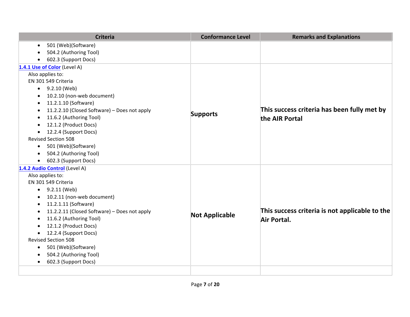| <b>Criteria</b>                                           | <b>Conformance Level</b> | <b>Remarks and Explanations</b>                |
|-----------------------------------------------------------|--------------------------|------------------------------------------------|
| 501 (Web)(Software)<br>$\bullet$                          |                          |                                                |
| 504.2 (Authoring Tool)                                    |                          |                                                |
| 602.3 (Support Docs)<br>$\bullet$                         |                          |                                                |
| 1.4.1 Use of Color (Level A)                              |                          |                                                |
| Also applies to:                                          |                          |                                                |
| EN 301 549 Criteria                                       |                          |                                                |
| $\bullet$ 9.2.10 (Web)                                    |                          |                                                |
| 10.2.10 (non-web document)<br>$\bullet$                   |                          |                                                |
| 11.2.1.10 (Software)<br>$\bullet$                         |                          |                                                |
| 11.2.2.10 (Closed Software) - Does not apply<br>٠         |                          | This success criteria has been fully met by    |
| 11.6.2 (Authoring Tool)<br>$\bullet$                      | <b>Supports</b>          | the AIR Portal                                 |
| 12.1.2 (Product Docs)<br>$\bullet$                        |                          |                                                |
| 12.2.4 (Support Docs)<br>$\bullet$                        |                          |                                                |
| <b>Revised Section 508</b>                                |                          |                                                |
| 501 (Web)(Software)<br>$\bullet$                          |                          |                                                |
| 504.2 (Authoring Tool)<br>$\bullet$                       |                          |                                                |
| 602.3 (Support Docs)<br>$\bullet$                         |                          |                                                |
| 1.4.2 Audio Control (Level A)                             |                          |                                                |
| Also applies to:                                          |                          |                                                |
| EN 301 549 Criteria                                       |                          |                                                |
| $\bullet$ 9.2.11 (Web)                                    |                          |                                                |
| 10.2.11 (non-web document)<br>$\bullet$                   |                          |                                                |
| 11.2.1.11 (Software)<br>$\bullet$                         |                          |                                                |
| 11.2.2.11 (Closed Software) - Does not apply<br>$\bullet$ | <b>Not Applicable</b>    | This success criteria is not applicable to the |
| 11.6.2 (Authoring Tool)<br>$\bullet$                      |                          | Air Portal.                                    |
| 12.1.2 (Product Docs)<br>$\bullet$                        |                          |                                                |
| 12.2.4 (Support Docs)<br>$\bullet$                        |                          |                                                |
| <b>Revised Section 508</b>                                |                          |                                                |
| 501 (Web)(Software)<br>$\bullet$                          |                          |                                                |
| 504.2 (Authoring Tool)<br>$\bullet$                       |                          |                                                |
| 602.3 (Support Docs)<br>$\bullet$                         |                          |                                                |
|                                                           |                          |                                                |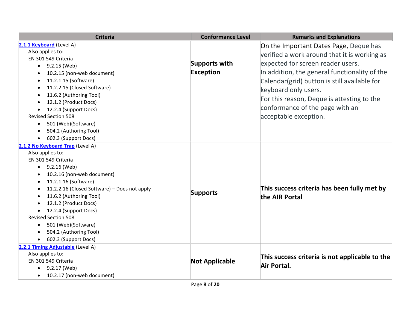| <b>Criteria</b>                              | <b>Conformance Level</b> | <b>Remarks and Explanations</b>                               |
|----------------------------------------------|--------------------------|---------------------------------------------------------------|
| 2.1.1 Keyboard (Level A)                     |                          | On the Important Dates Page, Deque has                        |
| Also applies to:                             |                          | verified a work around that it is working as                  |
| EN 301 549 Criteria                          |                          |                                                               |
| 9.2.15 (Web)<br>$\bullet$                    | <b>Supports with</b>     | expected for screen reader users.                             |
| 10.2.15 (non-web document)                   | <b>Exception</b>         | In addition, the general functionality of the                 |
| 11.2.1.15 (Software)<br>$\bullet$            |                          | Calendar(grid) button is still available for                  |
| 11.2.2.15 (Closed Software)                  |                          | keyboard only users.                                          |
| 11.6.2 (Authoring Tool)                      |                          | For this reason, Deque is attesting to the                    |
| 12.1.2 (Product Docs)                        |                          |                                                               |
| 12.2.4 (Support Docs)                        |                          | conformance of the page with an                               |
| <b>Revised Section 508</b>                   |                          | acceptable exception.                                         |
| 501 (Web)(Software)<br>$\bullet$             |                          |                                                               |
| 504.2 (Authoring Tool)                       |                          |                                                               |
| 602.3 (Support Docs)                         |                          |                                                               |
| 2.1.2 No Keyboard Trap (Level A)             |                          |                                                               |
| Also applies to:                             |                          |                                                               |
| EN 301 549 Criteria                          |                          |                                                               |
| $\bullet$ 9.2.16 (Web)                       |                          |                                                               |
| 10.2.16 (non-web document)                   |                          |                                                               |
| 11.2.1.16 (Software)                         |                          | This success criteria has been fully met by<br>the AIR Portal |
| 11.2.2.16 (Closed Software) - Does not apply | <b>Supports</b>          |                                                               |
| 11.6.2 (Authoring Tool)<br>$\bullet$         |                          |                                                               |
| 12.1.2 (Product Docs)                        |                          |                                                               |
| 12.2.4 (Support Docs)                        |                          |                                                               |
| <b>Revised Section 508</b>                   |                          |                                                               |
| 501 (Web)(Software)<br>$\bullet$             |                          |                                                               |
| 504.2 (Authoring Tool)                       |                          |                                                               |
| 602.3 (Support Docs)                         |                          |                                                               |
| 2.2.1 Timing Adjustable (Level A)            |                          |                                                               |
| Also applies to:                             |                          | This success criteria is not applicable to the                |
| EN 301 549 Criteria                          | <b>Not Applicable</b>    | Air Portal.                                                   |
| 9.2.17 (Web)                                 |                          |                                                               |
| 10.2.17 (non-web document)<br>$\bullet$      |                          |                                                               |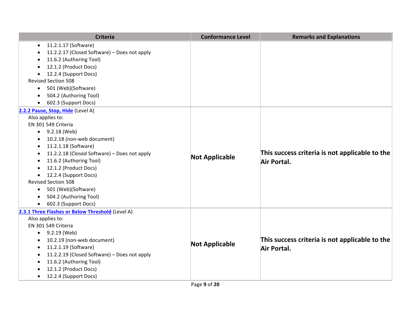| <b>Criteria</b>                                           | <b>Conformance Level</b> | <b>Remarks and Explanations</b>                |
|-----------------------------------------------------------|--------------------------|------------------------------------------------|
| 11.2.1.17 (Software)<br>$\bullet$                         |                          |                                                |
| 11.2.2.17 (Closed Software) - Does not apply<br>$\bullet$ |                          |                                                |
| 11.6.2 (Authoring Tool)                                   |                          |                                                |
| 12.1.2 (Product Docs)<br>$\bullet$                        |                          |                                                |
| 12.2.4 (Support Docs)                                     |                          |                                                |
| <b>Revised Section 508</b>                                |                          |                                                |
| 501 (Web)(Software)<br>$\bullet$                          |                          |                                                |
| 504.2 (Authoring Tool)                                    |                          |                                                |
| 602.3 (Support Docs)<br>$\bullet$                         |                          |                                                |
| 2.2.2 Pause, Stop, Hide (Level A)                         |                          |                                                |
| Also applies to:                                          |                          |                                                |
| EN 301 549 Criteria                                       |                          |                                                |
| 9.2.18 (Web)<br>$\bullet$                                 |                          |                                                |
| 10.2.18 (non-web document)                                |                          |                                                |
| 11.2.1.18 (Software)<br>$\bullet$                         |                          |                                                |
| 11.2.2.18 (Closed Software) - Does not apply<br>$\bullet$ | <b>Not Applicable</b>    | This success criteria is not applicable to the |
| 11.6.2 (Authoring Tool)<br>$\bullet$                      |                          | Air Portal.                                    |
| 12.1.2 (Product Docs)                                     |                          |                                                |
| 12.2.4 (Support Docs)<br>$\bullet$                        |                          |                                                |
| <b>Revised Section 508</b>                                |                          |                                                |
| 501 (Web)(Software)<br>$\bullet$                          |                          |                                                |
| 504.2 (Authoring Tool)<br>$\bullet$                       |                          |                                                |
| 602.3 (Support Docs)<br>$\bullet$                         |                          |                                                |
| 2.3.1 Three Flashes or Below Threshold (Level A)          |                          |                                                |
| Also applies to:                                          |                          |                                                |
| EN 301 549 Criteria                                       |                          |                                                |
| 9.2.19 (Web)<br>$\bullet$                                 |                          |                                                |
| 10.2.19 (non-web document)<br>$\bullet$                   | <b>Not Applicable</b>    | This success criteria is not applicable to the |
| 11.2.1.19 (Software)<br>$\bullet$                         |                          | Air Portal.                                    |
| 11.2.2.19 (Closed Software) - Does not apply<br>$\bullet$ |                          |                                                |
| 11.6.2 (Authoring Tool)                                   |                          |                                                |
| 12.1.2 (Product Docs)                                     |                          |                                                |
| 12.2.4 (Support Docs)<br>$\bullet$                        |                          |                                                |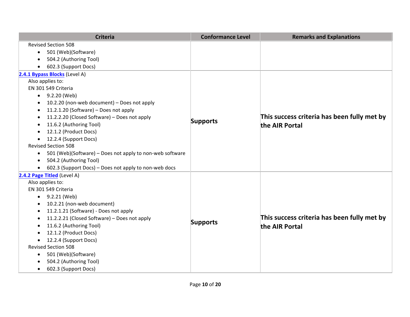| <b>Criteria</b>                                                       | <b>Conformance Level</b> | <b>Remarks and Explanations</b>             |
|-----------------------------------------------------------------------|--------------------------|---------------------------------------------|
| <b>Revised Section 508</b>                                            |                          |                                             |
| 501 (Web)(Software)<br>$\bullet$                                      |                          |                                             |
| 504.2 (Authoring Tool)<br>$\bullet$                                   |                          |                                             |
| 602.3 (Support Docs)<br>$\bullet$                                     |                          |                                             |
| 2.4.1 Bypass Blocks (Level A)                                         |                          |                                             |
| Also applies to:                                                      |                          |                                             |
| EN 301 549 Criteria                                                   |                          |                                             |
| 9.2.20 (Web)<br>$\bullet$                                             |                          |                                             |
| 10.2.20 (non-web document) - Does not apply<br>$\bullet$              |                          |                                             |
| 11.2.1.20 (Software) - Does not apply<br>$\bullet$                    |                          |                                             |
| 11.2.2.20 (Closed Software) - Does not apply<br>$\bullet$             | <b>Supports</b>          | This success criteria has been fully met by |
| 11.6.2 (Authoring Tool)                                               |                          | the AIR Portal                              |
| 12.1.2 (Product Docs)<br>$\bullet$                                    |                          |                                             |
| 12.2.4 (Support Docs)<br>$\bullet$                                    |                          |                                             |
| <b>Revised Section 508</b>                                            |                          |                                             |
| 501 (Web)(Software) - Does not apply to non-web software<br>$\bullet$ |                          |                                             |
| 504.2 (Authoring Tool)<br>$\bullet$                                   |                          |                                             |
| 602.3 (Support Docs) - Does not apply to non-web docs<br>$\bullet$    |                          |                                             |
| 2.4.2 Page Titled (Level A)                                           |                          |                                             |
| Also applies to:                                                      |                          |                                             |
| EN 301 549 Criteria                                                   |                          |                                             |
| 9.2.21 (Web)<br>$\bullet$                                             |                          |                                             |
| 10.2.21 (non-web document)<br>$\bullet$                               |                          |                                             |
| 11.2.1.21 (Software) - Does not apply<br>$\bullet$                    |                          |                                             |
| 11.2.2.21 (Closed Software) - Does not apply<br>$\bullet$             | <b>Supports</b>          | This success criteria has been fully met by |
| 11.6.2 (Authoring Tool)<br>$\bullet$                                  |                          | the AIR Portal                              |
| 12.1.2 (Product Docs)<br>$\bullet$                                    |                          |                                             |
| 12.2.4 (Support Docs)<br>$\bullet$                                    |                          |                                             |
| <b>Revised Section 508</b>                                            |                          |                                             |
| 501 (Web)(Software)<br>$\bullet$                                      |                          |                                             |
| 504.2 (Authoring Tool)<br>$\bullet$                                   |                          |                                             |
| 602.3 (Support Docs)<br>$\bullet$                                     |                          |                                             |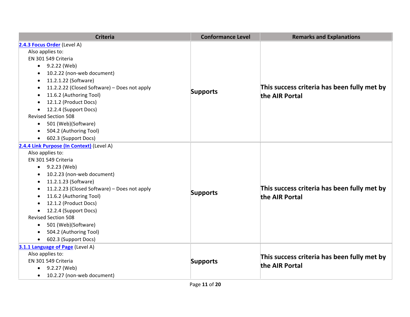| <b>Criteria</b>                                           | <b>Conformance Level</b> | <b>Remarks and Explanations</b>                               |
|-----------------------------------------------------------|--------------------------|---------------------------------------------------------------|
| 2.4.3 Focus Order (Level A)                               |                          |                                                               |
| Also applies to:                                          |                          |                                                               |
| EN 301 549 Criteria                                       |                          |                                                               |
| 9.2.22 (Web)<br>$\bullet$                                 |                          |                                                               |
| 10.2.22 (non-web document)<br>$\bullet$                   |                          |                                                               |
| 11.2.1.22 (Software)<br>$\bullet$                         |                          |                                                               |
| 11.2.2.22 (Closed Software) - Does not apply<br>$\bullet$ |                          | This success criteria has been fully met by                   |
| 11.6.2 (Authoring Tool)                                   | <b>Supports</b>          | the AIR Portal                                                |
| 12.1.2 (Product Docs)<br>$\bullet$                        |                          |                                                               |
| 12.2.4 (Support Docs)<br>$\bullet$                        |                          |                                                               |
| <b>Revised Section 508</b>                                |                          |                                                               |
| 501 (Web)(Software)<br>$\bullet$                          |                          |                                                               |
| 504.2 (Authoring Tool)<br>$\bullet$                       |                          |                                                               |
| 602.3 (Support Docs)                                      |                          |                                                               |
| 2.4.4 Link Purpose (In Context) (Level A)                 |                          |                                                               |
| Also applies to:                                          |                          |                                                               |
| EN 301 549 Criteria                                       |                          |                                                               |
| $\bullet$ 9.2.23 (Web)                                    |                          |                                                               |
| 10.2.23 (non-web document)                                |                          |                                                               |
| 11.2.1.23 (Software)<br>$\bullet$                         |                          |                                                               |
| 11.2.2.23 (Closed Software) - Does not apply<br>$\bullet$ | <b>Supports</b>          | This success criteria has been fully met by<br>the AIR Portal |
| 11.6.2 (Authoring Tool)<br>$\bullet$                      |                          |                                                               |
| 12.1.2 (Product Docs)<br>$\bullet$                        |                          |                                                               |
| 12.2.4 (Support Docs)<br>$\bullet$                        |                          |                                                               |
| <b>Revised Section 508</b>                                |                          |                                                               |
| 501 (Web)(Software)<br>$\bullet$                          |                          |                                                               |
| 504.2 (Authoring Tool)<br>$\bullet$                       |                          |                                                               |
| 602.3 (Support Docs)<br>$\bullet$                         |                          |                                                               |
| 3.1.1 Language of Page (Level A)                          |                          |                                                               |
| Also applies to:                                          |                          | This success criteria has been fully met by                   |
| EN 301 549 Criteria                                       | <b>Supports</b>          | the AIR Portal                                                |
| 9.2.27 (Web)<br>$\bullet$                                 |                          |                                                               |
| 10.2.27 (non-web document)<br>$\bullet$                   |                          |                                                               |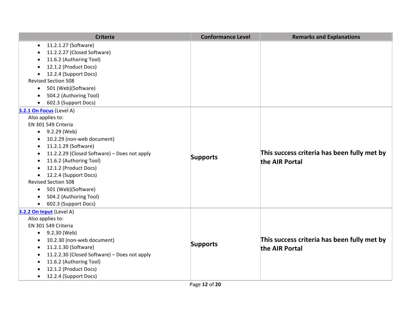| <b>Criteria</b>                                           | <b>Conformance Level</b> | <b>Remarks and Explanations</b>                               |
|-----------------------------------------------------------|--------------------------|---------------------------------------------------------------|
| 11.2.1.27 (Software)<br>$\bullet$                         |                          |                                                               |
| 11.2.2.27 (Closed Software)<br>$\bullet$                  |                          |                                                               |
| 11.6.2 (Authoring Tool)<br>$\bullet$                      |                          |                                                               |
| 12.1.2 (Product Docs)<br>$\bullet$                        |                          |                                                               |
| 12.2.4 (Support Docs)                                     |                          |                                                               |
| <b>Revised Section 508</b>                                |                          |                                                               |
| 501 (Web)(Software)<br>$\bullet$                          |                          |                                                               |
| 504.2 (Authoring Tool)<br>$\bullet$                       |                          |                                                               |
| 602.3 (Support Docs)<br>$\bullet$                         |                          |                                                               |
| 3.2.1 On Focus (Level A)                                  |                          |                                                               |
| Also applies to:                                          |                          |                                                               |
| EN 301 549 Criteria                                       |                          |                                                               |
| 9.2.29 (Web)<br>$\bullet$                                 |                          |                                                               |
| 10.2.29 (non-web document)<br>$\bullet$                   |                          | This success criteria has been fully met by<br>the AIR Portal |
| 11.2.1.29 (Software)<br>$\bullet$                         |                          |                                                               |
| 11.2.2.29 (Closed Software) - Does not apply<br>$\bullet$ | <b>Supports</b>          |                                                               |
| 11.6.2 (Authoring Tool)<br>$\bullet$                      |                          |                                                               |
| 12.1.2 (Product Docs)<br>$\bullet$                        |                          |                                                               |
| 12.2.4 (Support Docs)<br>$\bullet$                        |                          |                                                               |
| <b>Revised Section 508</b>                                |                          |                                                               |
| 501 (Web)(Software)<br>$\bullet$                          |                          |                                                               |
| 504.2 (Authoring Tool)<br>$\bullet$                       |                          |                                                               |
| 602.3 (Support Docs)<br>$\bullet$                         |                          |                                                               |
| 3.2.2 On Input (Level A)                                  |                          |                                                               |
| Also applies to:                                          |                          | This success criteria has been fully met by<br>the AIR Portal |
| EN 301 549 Criteria                                       |                          |                                                               |
| 9.2.30 (Web)<br>$\bullet$                                 |                          |                                                               |
| 10.2.30 (non-web document)<br>$\bullet$                   | <b>Supports</b>          |                                                               |
| 11.2.1.30 (Software)<br>$\bullet$                         |                          |                                                               |
| 11.2.2.30 (Closed Software) - Does not apply<br>$\bullet$ |                          |                                                               |
| 11.6.2 (Authoring Tool)                                   |                          |                                                               |
| 12.1.2 (Product Docs)<br>$\bullet$                        |                          |                                                               |
| 12.2.4 (Support Docs)<br>$\bullet$                        |                          |                                                               |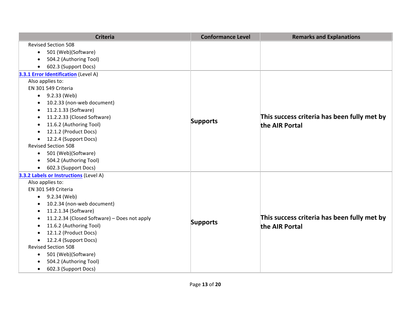| <b>Criteria</b>                                           | <b>Conformance Level</b> | <b>Remarks and Explanations</b>             |
|-----------------------------------------------------------|--------------------------|---------------------------------------------|
| <b>Revised Section 508</b>                                |                          |                                             |
| 501 (Web)(Software)<br>$\bullet$                          |                          |                                             |
| 504.2 (Authoring Tool)<br>$\bullet$                       |                          |                                             |
| 602.3 (Support Docs)<br>$\bullet$                         |                          |                                             |
| 3.3.1 Error Identification (Level A)                      |                          |                                             |
| Also applies to:                                          |                          |                                             |
| EN 301 549 Criteria                                       |                          |                                             |
| 9.2.33 (Web)<br>$\bullet$                                 |                          |                                             |
| 10.2.33 (non-web document)<br>$\bullet$                   |                          |                                             |
| 11.2.1.33 (Software)<br>$\bullet$                         |                          |                                             |
| 11.2.2.33 (Closed Software)<br>$\bullet$                  | <b>Supports</b>          | This success criteria has been fully met by |
| 11.6.2 (Authoring Tool)<br>$\bullet$                      |                          | the AIR Portal                              |
| 12.1.2 (Product Docs)<br>$\bullet$                        |                          |                                             |
| 12.2.4 (Support Docs)<br>$\bullet$                        |                          |                                             |
| <b>Revised Section 508</b>                                |                          |                                             |
| 501 (Web)(Software)<br>$\bullet$                          |                          |                                             |
| 504.2 (Authoring Tool)<br>$\bullet$                       |                          |                                             |
| 602.3 (Support Docs)<br>$\bullet$                         |                          |                                             |
| 3.3.2 Labels or Instructions (Level A)                    |                          |                                             |
| Also applies to:                                          |                          |                                             |
| EN 301 549 Criteria                                       |                          |                                             |
| 9.2.34 (Web)<br>$\bullet$                                 |                          |                                             |
| 10.2.34 (non-web document)<br>$\bullet$                   |                          |                                             |
| 11.2.1.34 (Software)<br>$\bullet$                         |                          |                                             |
| 11.2.2.34 (Closed Software) - Does not apply<br>$\bullet$ | <b>Supports</b>          | This success criteria has been fully met by |
| 11.6.2 (Authoring Tool)<br>$\bullet$                      |                          | the AIR Portal                              |
| 12.1.2 (Product Docs)<br>$\bullet$                        |                          |                                             |
| 12.2.4 (Support Docs)<br>$\bullet$                        |                          |                                             |
| <b>Revised Section 508</b>                                |                          |                                             |
| 501 (Web)(Software)<br>$\bullet$                          |                          |                                             |
| 504.2 (Authoring Tool)<br>$\bullet$                       |                          |                                             |
| 602.3 (Support Docs)<br>$\bullet$                         |                          |                                             |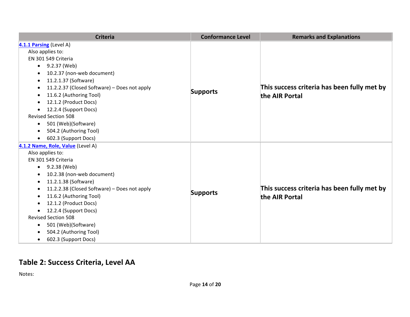| <b>Criteria</b>                                           | <b>Conformance Level</b> | <b>Remarks and Explanations</b>             |
|-----------------------------------------------------------|--------------------------|---------------------------------------------|
| 4.1.1 Parsing (Level A)                                   |                          |                                             |
| Also applies to:                                          |                          |                                             |
| EN 301 549 Criteria                                       |                          |                                             |
| 9.2.37 (Web)<br>$\bullet$                                 |                          |                                             |
| 10.2.37 (non-web document)<br>$\bullet$                   |                          |                                             |
| 11.2.1.37 (Software)<br>$\bullet$                         |                          |                                             |
| 11.2.2.37 (Closed Software) - Does not apply<br>$\bullet$ |                          | This success criteria has been fully met by |
| 11.6.2 (Authoring Tool)<br>$\bullet$                      | <b>Supports</b>          | the AIR Portal                              |
| 12.1.2 (Product Docs)<br>$\bullet$                        |                          |                                             |
| 12.2.4 (Support Docs)<br>$\bullet$                        |                          |                                             |
| <b>Revised Section 508</b>                                |                          |                                             |
| 501 (Web)(Software)<br>$\bullet$                          |                          |                                             |
| 504.2 (Authoring Tool)<br>$\bullet$                       |                          |                                             |
| 602.3 (Support Docs)<br>$\bullet$                         |                          |                                             |
| 4.1.2 Name, Role, Value (Level A)                         |                          |                                             |
| Also applies to:                                          |                          |                                             |
| EN 301 549 Criteria                                       |                          |                                             |
| 9.2.38 (Web)<br>$\bullet$                                 |                          |                                             |
| 10.2.38 (non-web document)<br>$\bullet$                   |                          |                                             |
| 11.2.1.38 (Software)<br>$\bullet$                         |                          |                                             |
| 11.2.2.38 (Closed Software) - Does not apply<br>$\bullet$ | <b>Supports</b>          | This success criteria has been fully met by |
| 11.6.2 (Authoring Tool)<br>$\bullet$                      |                          | the AIR Portal                              |
| 12.1.2 (Product Docs)<br>$\bullet$                        |                          |                                             |
| 12.2.4 (Support Docs)<br>$\bullet$                        |                          |                                             |
| <b>Revised Section 508</b>                                |                          |                                             |
| 501 (Web)(Software)<br>$\bullet$                          |                          |                                             |
| 504.2 (Authoring Tool)<br>$\bullet$                       |                          |                                             |
| 602.3 (Support Docs)<br>$\bullet$                         |                          |                                             |

#### **Table 2: Success Criteria, Level AA**

Notes: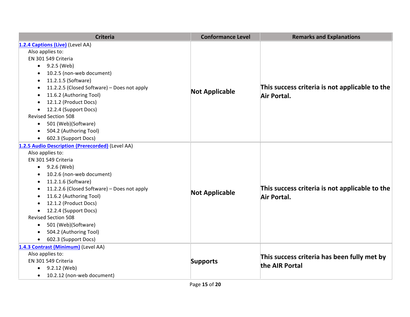| <b>Criteria</b>                                  | <b>Conformance Level</b> | <b>Remarks and Explanations</b>                               |
|--------------------------------------------------|--------------------------|---------------------------------------------------------------|
| 1.2.4 Captions (Live) (Level AA)                 |                          |                                                               |
| Also applies to:                                 |                          | This success criteria is not applicable to the<br>Air Portal. |
| EN 301 549 Criteria                              |                          |                                                               |
| 9.2.5 (Web)<br>$\bullet$                         |                          |                                                               |
| 10.2.5 (non-web document)                        |                          |                                                               |
| 11.2.1.5 (Software)<br>$\bullet$                 |                          |                                                               |
| 11.2.2.5 (Closed Software) - Does not apply      |                          |                                                               |
| 11.6.2 (Authoring Tool)                          | <b>Not Applicable</b>    |                                                               |
| 12.1.2 (Product Docs)                            |                          |                                                               |
| 12.2.4 (Support Docs)<br>$\bullet$               |                          |                                                               |
| <b>Revised Section 508</b>                       |                          |                                                               |
| 501 (Web)(Software)<br>$\bullet$                 |                          |                                                               |
| 504.2 (Authoring Tool)<br>$\bullet$              |                          |                                                               |
| 602.3 (Support Docs)<br>$\bullet$                |                          |                                                               |
| 1.2.5 Audio Description (Prerecorded) (Level AA) |                          | This success criteria is not applicable to the<br>Air Portal. |
| Also applies to:                                 |                          |                                                               |
| EN 301 549 Criteria                              |                          |                                                               |
| $-9.2.6$ (Web)                                   |                          |                                                               |
| 10.2.6 (non-web document)                        |                          |                                                               |
| 11.2.1.6 (Software)                              |                          |                                                               |
| 11.2.2.6 (Closed Software) - Does not apply      | <b>Not Applicable</b>    |                                                               |
| 11.6.2 (Authoring Tool)<br>$\bullet$             |                          |                                                               |
| 12.1.2 (Product Docs)<br>$\bullet$               |                          |                                                               |
| 12.2.4 (Support Docs)<br>$\bullet$               |                          |                                                               |
| <b>Revised Section 508</b>                       |                          |                                                               |
| 501 (Web)(Software)<br>$\bullet$                 |                          |                                                               |
| 504.2 (Authoring Tool)<br>$\bullet$              |                          |                                                               |
| 602.3 (Support Docs)<br>$\bullet$                |                          |                                                               |
| 1.4.3 Contrast (Minimum) (Level AA)              | <b>Supports</b>          | This success criteria has been fully met by<br>the AIR Portal |
| Also applies to:                                 |                          |                                                               |
| EN 301 549 Criteria                              |                          |                                                               |
| 9.2.12 (Web)<br>$\bullet$                        |                          |                                                               |
| 10.2.12 (non-web document)<br>$\bullet$          |                          |                                                               |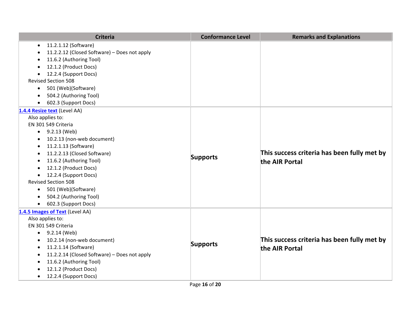| <b>Criteria</b>                                           | <b>Conformance Level</b> | <b>Remarks and Explanations</b>                               |
|-----------------------------------------------------------|--------------------------|---------------------------------------------------------------|
| 11.2.1.12 (Software)<br>$\bullet$                         |                          |                                                               |
| 11.2.2.12 (Closed Software) - Does not apply<br>$\bullet$ |                          |                                                               |
| 11.6.2 (Authoring Tool)<br>$\bullet$                      |                          |                                                               |
| 12.1.2 (Product Docs)<br>$\bullet$                        |                          |                                                               |
| 12.2.4 (Support Docs)                                     |                          |                                                               |
| <b>Revised Section 508</b>                                |                          |                                                               |
| 501 (Web)(Software)<br>$\bullet$                          |                          |                                                               |
| 504.2 (Authoring Tool)<br>$\bullet$                       |                          |                                                               |
| 602.3 (Support Docs)<br>$\bullet$                         |                          |                                                               |
| 1.4.4 Resize text (Level AA)                              |                          |                                                               |
| Also applies to:                                          |                          |                                                               |
| EN 301 549 Criteria                                       |                          | This success criteria has been fully met by<br>the AIR Portal |
| 9.2.13 (Web)<br>$\bullet$                                 |                          |                                                               |
| 10.2.13 (non-web document)<br>$\bullet$                   |                          |                                                               |
| 11.2.1.13 (Software)<br>$\bullet$                         |                          |                                                               |
| 11.2.2.13 (Closed Software)<br>$\bullet$                  | <b>Supports</b>          |                                                               |
| 11.6.2 (Authoring Tool)<br>$\bullet$                      |                          |                                                               |
| 12.1.2 (Product Docs)                                     |                          |                                                               |
| 12.2.4 (Support Docs)                                     |                          |                                                               |
| <b>Revised Section 508</b>                                |                          |                                                               |
| 501 (Web)(Software)<br>$\bullet$                          |                          |                                                               |
| 504.2 (Authoring Tool)<br>$\bullet$                       |                          |                                                               |
| 602.3 (Support Docs)<br>$\bullet$                         |                          |                                                               |
| 1.4.5 Images of Text (Level AA)                           |                          |                                                               |
| Also applies to:                                          |                          | This success criteria has been fully met by<br>the AIR Portal |
| EN 301 549 Criteria                                       |                          |                                                               |
| 9.2.14 (Web)<br>$\bullet$                                 |                          |                                                               |
| 10.2.14 (non-web document)<br>$\bullet$                   | <b>Supports</b>          |                                                               |
| 11.2.1.14 (Software)<br>$\bullet$                         |                          |                                                               |
| 11.2.2.14 (Closed Software) - Does not apply<br>$\bullet$ |                          |                                                               |
| 11.6.2 (Authoring Tool)                                   |                          |                                                               |
| 12.1.2 (Product Docs)<br>$\bullet$                        |                          |                                                               |
| 12.2.4 (Support Docs)<br>$\bullet$                        |                          |                                                               |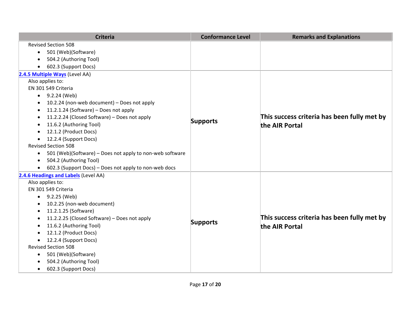| <b>Criteria</b>                                                          | <b>Conformance Level</b> | <b>Remarks and Explanations</b>                               |
|--------------------------------------------------------------------------|--------------------------|---------------------------------------------------------------|
| <b>Revised Section 508</b>                                               |                          |                                                               |
| 501 (Web)(Software)<br>$\bullet$                                         |                          |                                                               |
| 504.2 (Authoring Tool)<br>$\bullet$                                      |                          |                                                               |
| 602.3 (Support Docs)<br>$\bullet$                                        |                          |                                                               |
| 2.4.5 Multiple Ways (Level AA)                                           |                          |                                                               |
| Also applies to:                                                         |                          |                                                               |
| EN 301 549 Criteria                                                      |                          |                                                               |
| 9.2.24 (Web)<br>$\bullet$                                                |                          |                                                               |
| 10.2.24 (non-web document) - Does not apply<br>٠                         | <b>Supports</b>          |                                                               |
| 11.2.1.24 (Software) - Does not apply<br>$\bullet$                       |                          |                                                               |
| 11.2.2.24 (Closed Software) - Does not apply<br>$\bullet$                |                          | This success criteria has been fully met by<br>the AIR Portal |
| 11.6.2 (Authoring Tool)                                                  |                          |                                                               |
| 12.1.2 (Product Docs)<br>٠                                               |                          |                                                               |
| 12.2.4 (Support Docs)<br>$\bullet$                                       |                          |                                                               |
| <b>Revised Section 508</b>                                               |                          |                                                               |
| 501 (Web)(Software) - Does not apply to non-web software<br>$\bullet$    |                          |                                                               |
| 504.2 (Authoring Tool)<br>$\bullet$                                      |                          |                                                               |
| 602.3 (Support Docs) - Does not apply to non-web docs<br>$\bullet$       |                          |                                                               |
| 2.4.6 Headings and Labels (Level AA)                                     |                          |                                                               |
| Also applies to:                                                         |                          | This success criteria has been fully met by<br>the AIR Portal |
| EN 301 549 Criteria                                                      |                          |                                                               |
| 9.2.25 (Web)<br>$\bullet$                                                |                          |                                                               |
| 10.2.25 (non-web document)<br>$\bullet$                                  |                          |                                                               |
| 11.2.1.25 (Software)<br>$\bullet$                                        |                          |                                                               |
| 11.2.2.25 (Closed Software) - Does not apply<br>$\bullet$                | <b>Supports</b>          |                                                               |
| 11.6.2 (Authoring Tool)<br>$\bullet$                                     |                          |                                                               |
| 12.1.2 (Product Docs)<br>$\bullet$                                       |                          |                                                               |
| 12.2.4 (Support Docs)<br>$\bullet$                                       |                          |                                                               |
| <b>Revised Section 508</b>                                               |                          |                                                               |
| 501 (Web)(Software)<br>$\bullet$                                         |                          |                                                               |
|                                                                          |                          |                                                               |
| 504.2 (Authoring Tool)<br>$\bullet$<br>602.3 (Support Docs)<br>$\bullet$ |                          |                                                               |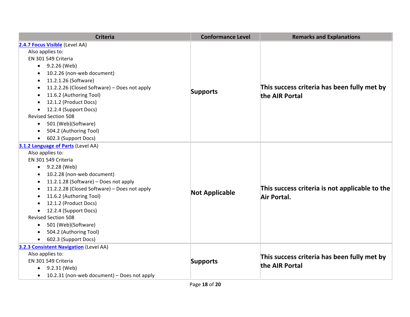| <b>Criteria</b>                                          | <b>Conformance Level</b> | <b>Remarks and Explanations</b>                               |
|----------------------------------------------------------|--------------------------|---------------------------------------------------------------|
| 2.4.7 Focus Visible (Level AA)                           |                          |                                                               |
| Also applies to:                                         |                          | This success criteria has been fully met by<br>the AIR Portal |
| EN 301 549 Criteria                                      |                          |                                                               |
| 9.2.26 (Web)<br>$\bullet$                                |                          |                                                               |
| 10.2.26 (non-web document)                               |                          |                                                               |
| 11.2.1.26 (Software)<br>$\bullet$                        |                          |                                                               |
| 11.2.2.26 (Closed Software) - Does not apply             |                          |                                                               |
| 11.6.2 (Authoring Tool)                                  | <b>Supports</b>          |                                                               |
| 12.1.2 (Product Docs)                                    |                          |                                                               |
| 12.2.4 (Support Docs)<br>$\bullet$                       |                          |                                                               |
| <b>Revised Section 508</b>                               |                          |                                                               |
| 501 (Web)(Software)<br>$\bullet$                         |                          |                                                               |
| 504.2 (Authoring Tool)<br>$\bullet$                      |                          |                                                               |
| 602.3 (Support Docs)<br>$\bullet$                        |                          |                                                               |
| 3.1.2 Language of Parts (Level AA)                       |                          | This success criteria is not applicable to the<br>Air Portal. |
| Also applies to:                                         |                          |                                                               |
| EN 301 549 Criteria                                      |                          |                                                               |
| $\bullet$ 9.2.28 (Web)                                   |                          |                                                               |
| 10.2.28 (non-web document)                               |                          |                                                               |
| 11.2.1.28 (Software) - Does not apply                    |                          |                                                               |
| 11.2.2.28 (Closed Software) - Does not apply             | <b>Not Applicable</b>    |                                                               |
| 11.6.2 (Authoring Tool)<br>$\bullet$                     |                          |                                                               |
| 12.1.2 (Product Docs)                                    |                          |                                                               |
| 12.2.4 (Support Docs)<br>$\bullet$                       |                          |                                                               |
| <b>Revised Section 508</b>                               |                          |                                                               |
| 501 (Web)(Software)<br>$\bullet$                         |                          |                                                               |
| 504.2 (Authoring Tool)<br>$\bullet$                      |                          |                                                               |
| 602.3 (Support Docs)                                     |                          |                                                               |
| 3.2.3 Consistent Navigation (Level AA)                   | <b>Supports</b>          | This success criteria has been fully met by<br>the AIR Portal |
| Also applies to:                                         |                          |                                                               |
| EN 301 549 Criteria                                      |                          |                                                               |
| 9.2.31 (Web)<br>$\bullet$                                |                          |                                                               |
| 10.2.31 (non-web document) - Does not apply<br>$\bullet$ |                          |                                                               |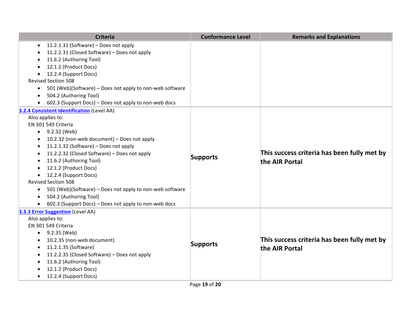| <b>Criteria</b>                                                                                                                                                                                                                                                                                                                                                                                                                                                                                                                                                                       | <b>Conformance Level</b> | <b>Remarks and Explanations</b>                               |
|---------------------------------------------------------------------------------------------------------------------------------------------------------------------------------------------------------------------------------------------------------------------------------------------------------------------------------------------------------------------------------------------------------------------------------------------------------------------------------------------------------------------------------------------------------------------------------------|--------------------------|---------------------------------------------------------------|
| 11.2.1.31 (Software) - Does not apply<br>$\bullet$<br>11.2.2.31 (Closed Software) - Does not apply<br>11.6.2 (Authoring Tool)<br>$\bullet$<br>12.1.2 (Product Docs)<br>12.2.4 (Support Docs)                                                                                                                                                                                                                                                                                                                                                                                          |                          |                                                               |
| <b>Revised Section 508</b><br>501 (Web)(Software) - Does not apply to non-web software<br>$\bullet$<br>504.2 (Authoring Tool)<br>602.3 (Support Docs) - Does not apply to non-web docs<br>$\bullet$                                                                                                                                                                                                                                                                                                                                                                                   |                          |                                                               |
| 3.2.4 Consistent Identification (Level AA)<br>Also applies to:<br>EN 301 549 Criteria<br>9.2.32 (Web)<br>$\bullet$<br>10.2.32 (non-web document) - Does not apply<br>11.2.1.32 (Software) - Does not apply<br>$\bullet$<br>11.2.2.32 (Closed Software) - Does not apply<br>$\bullet$<br>11.6.2 (Authoring Tool)<br>$\bullet$<br>12.1.2 (Product Docs)<br>12.2.4 (Support Docs)<br><b>Revised Section 508</b><br>501 (Web)(Software) - Does not apply to non-web software<br>$\bullet$<br>504.2 (Authoring Tool)<br>$\bullet$<br>602.3 (Support Docs) - Does not apply to non-web docs | <b>Supports</b>          | This success criteria has been fully met by<br>the AIR Portal |
| 3.3.3 Error Suggestion (Level AA)<br>Also applies to:<br>EN 301 549 Criteria<br>$\bullet$ 9.2.35 (Web)<br>10.2.35 (non-web document)<br>$\bullet$<br>11.2.1.35 (Software)<br>$\bullet$<br>11.2.2.35 (Closed Software) - Does not apply<br>$\bullet$<br>11.6.2 (Authoring Tool)<br>12.1.2 (Product Docs)<br>12.2.4 (Support Docs)<br>$\bullet$                                                                                                                                                                                                                                         | <b>Supports</b>          | This success criteria has been fully met by<br>the AIR Portal |